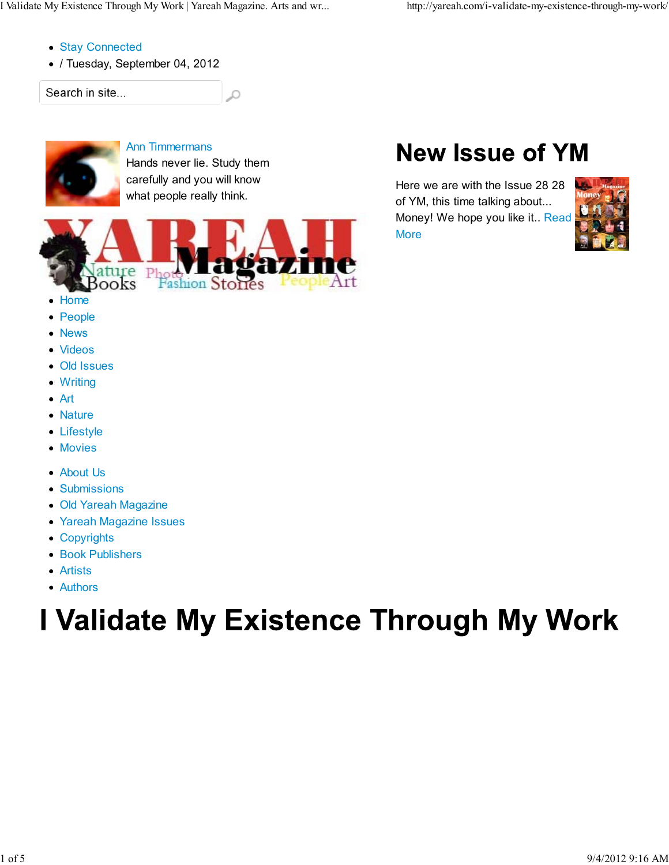- Stay Connected
- / Tuesday, September 04, 2012

Search in site...



Ann Timmermans

Hands never lie. Study them carefully and you will know what people really think.

Ω



- Home
- People
- News
- Videos
- Old Issues
- Writing
- Art
- Nature
- Lifestyle
- Movies
- About Us
- Submissions
- Old Yareah Magazine
- Yareah Magazine Issues
- Copyrights
- Book Publishers
- Artists
- Authors

# I Validate My Existence Through My Work

## **New Issue of YM**

Here we are with the Issue 28 28 of YM, this time talking about... Money! We hope you like it.. Read **More** 

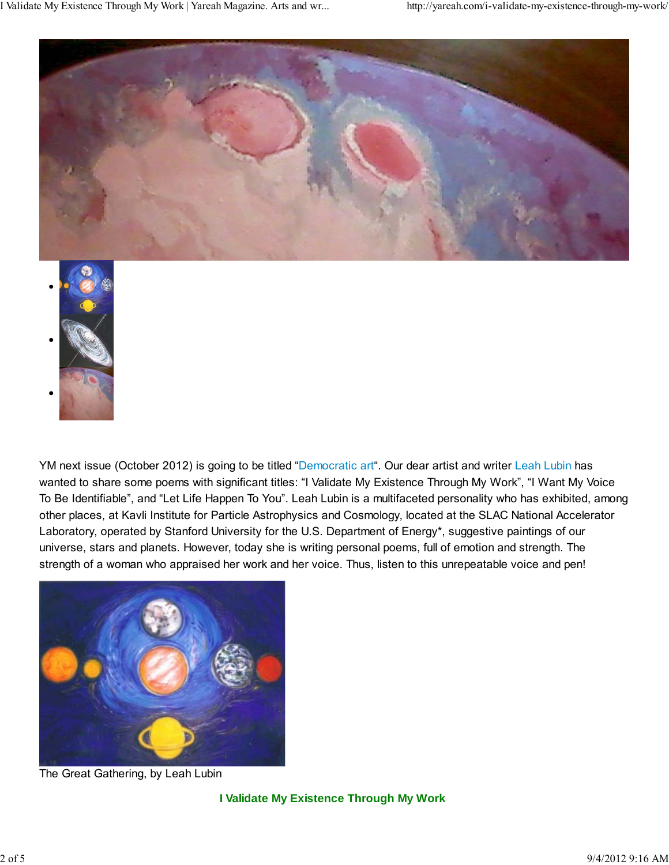



YM next issue (October 2012) is going to be titled "Democratic art". Our dear artist and writer Leah Lubin has wanted to share some poems with significant titles: "I Validate My Existence Through My Work", "I Want My Voice To Be Identifiable", and "Let Life Happen To You". Leah Lubin is a multifaceted personality who has exhibited, among other places, at Kavli Institute for Particle Astrophysics and Cosmology, located at the SLAC National Accelerator Laboratory, operated by Stanford University for the U.S. Department of Energy\*, suggestive paintings of our universe, stars and planets. However, today she is writing personal poems, full of emotion and strength. The strength of a woman who appraised her work and her voice. Thus, listen to this unrepeatable voice and pen!



The Great Gathering, by Leah Lubin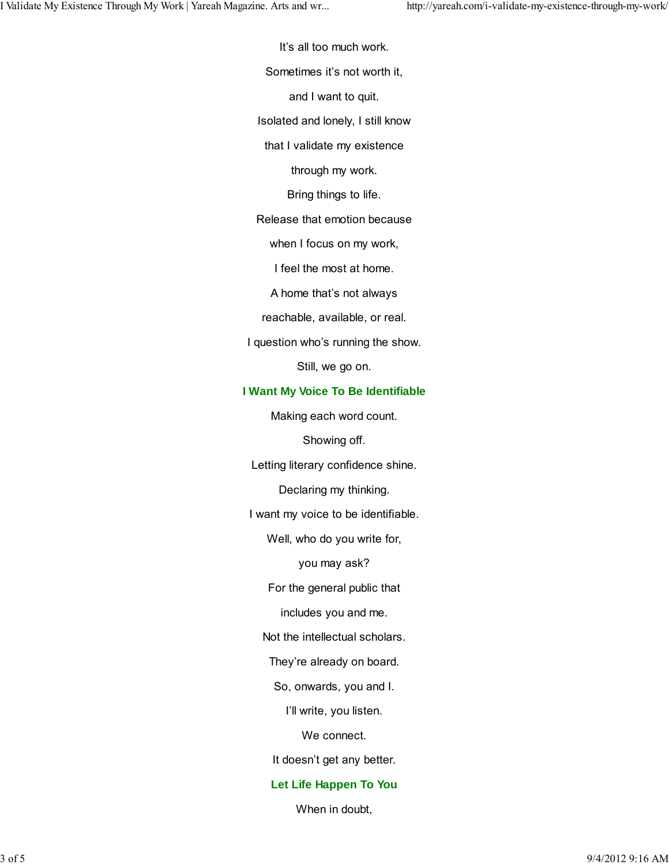It's all too much work.

Sometimes it's not worth it,

and I want to quit.

Isolated and lonely, I still know

that I validate my existence

through my work.

Bring things to life.

Release that emotion because

when I focus on my work,

I feel the most at home.

A home that's not always

reachable, available, or real.

I question who's running the show.

Still, we go on.

#### **I Want My Voice To Be Identifiable**

Making each word count.

Showing off.

Letting literary confidence shine.

Declaring my thinking.

I want my voice to be identifiable.

Well, who do you write for,

you may ask?

For the general public that

includes you and me.

Not the intellectual scholars.

They're already on board.

So, onwards, you and I.

I'll write, you listen.

We connect.

It doesn't get any better.

#### **Let Life Happen To You**

When in doubt,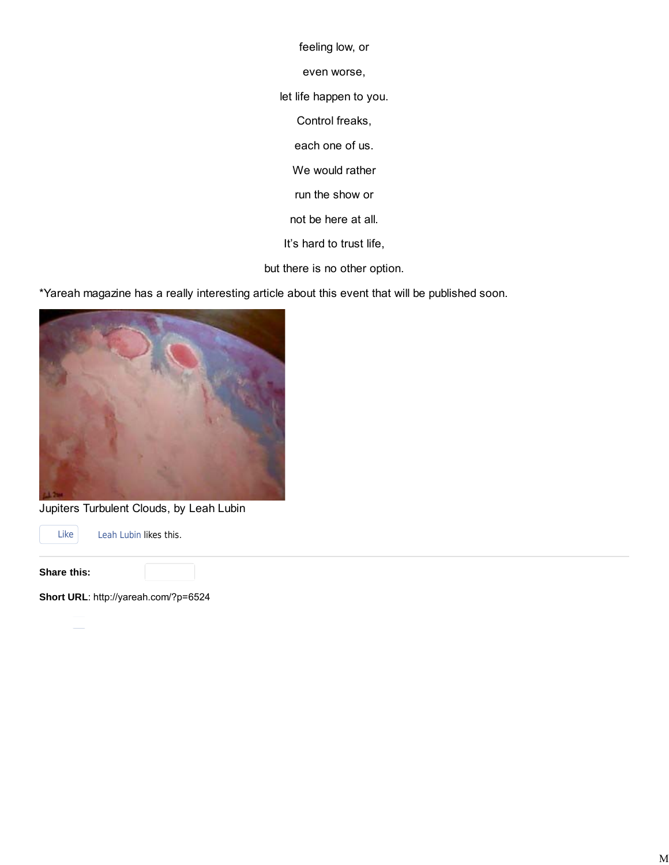feeling low, or

even worse,

let life happen to you.

Control freaks,

each one of us.

We would rather

run the show or

not be here at all.

It's hard to trust life,

but there is no other option.

\*Yareah magazine has a really interesting article about this event that will be published soon.



Jupiters Turbulent Clouds, by Leah Lubin

Like Leah Lubin likes this.

**Share this:**

**Short URL**: http://yareah.com/?p=6524